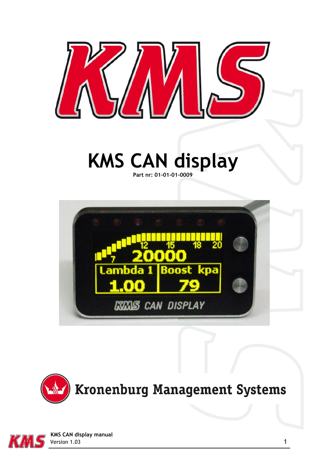

# **KMS CAN display Part nr: 01-01-01-0009**







 **KMS CAN display manual** Version 1.03 1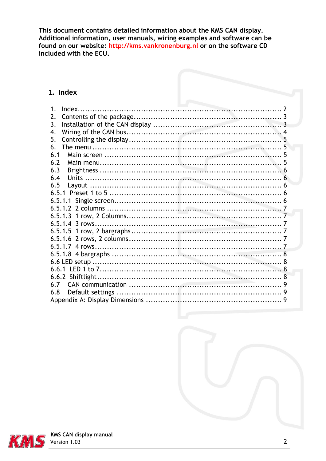This document contains detailed information about the KMS CAN display. Additional information, user manuals, wiring examples and software can be found on our website: http://kms.vankronenburg.nl or on the software CD included with the ECU.

#### <span id="page-1-0"></span>1. Index

| 1 <sub>1</sub> |  |
|----------------|--|
| 2.             |  |
| 3.             |  |
| 4.             |  |
| 5.             |  |
| 6.             |  |
| 6.1            |  |
| 6.2            |  |
| 6.3            |  |
| 6.4            |  |
| 6.5            |  |
|                |  |
|                |  |
|                |  |
|                |  |
|                |  |
|                |  |
|                |  |
|                |  |
|                |  |
|                |  |
|                |  |
|                |  |
| 67             |  |
| 6.8            |  |
|                |  |





**KMS CAN display manual**<br> **S** Version 1.03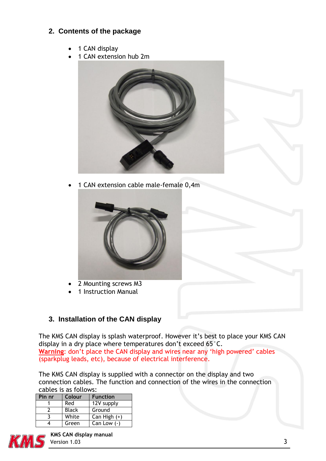## <span id="page-2-0"></span>**2. Contents of the package**

- 1 CAN display
- 1 CAN extension hub 2m



1 CAN extension cable male-female 0,4m



- 2 Mounting screws M3
- 1 Instruction Manual

## <span id="page-2-1"></span>**3. Installation of the CAN display**

The KMS CAN display is splash waterproof. However it's best to place your KMS CAN display in a dry place where temperatures don't exceed 65°C. **Warning**: don't place the CAN display and wires near any 'high powered' cables (sparkplug leads, etc), because of electrical interference.

The KMS CAN display is supplied with a connector on the display and two connection cables. The function and connection of the wires in the connection cables is as follows:

| Pin nr | Colour       | <b>Function</b> |
|--------|--------------|-----------------|
|        | Red          | 12V supply      |
|        | <b>Black</b> | Ground          |
|        | White        | $Can High (+)$  |
|        | Green        | Can Low $(-)$   |



 **KMS CAN display manual** Version 1.03 3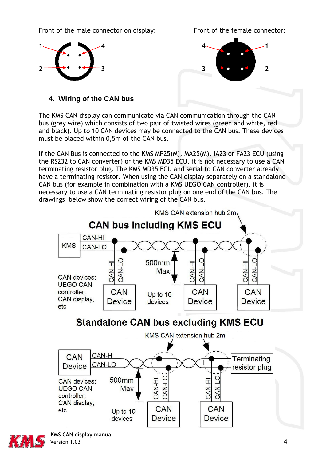Front of the male connector on display: Front of the female connector:





## <span id="page-3-0"></span>**4. Wiring of the CAN bus**

The KMS CAN display can communicate via CAN communication through the CAN bus (grey wire) which consists of two pair of twisted wires (green and white, red and black). Up to 10 CAN devices may be connected to the CAN bus. These devices must be placed within 0,5m of the CAN bus.

If the CAN Bus is connected to the KMS MP25(M), MA25(M), IA23 or FA23 ECU (using the RS232 to CAN converter) or the KMS MD35 ECU, it is not necessary to use a CAN terminating resistor plug. The KMS MD35 ECU and serial to CAN converter already have a terminating resistor. When using the CAN display separately on a standalone CAN bus (for example in combination with a KMS UEGO CAN controller), it is necessary to use a CAN terminating resistor plug on one end of the CAN bus. The drawings below show the correct wiring of the CAN bus.

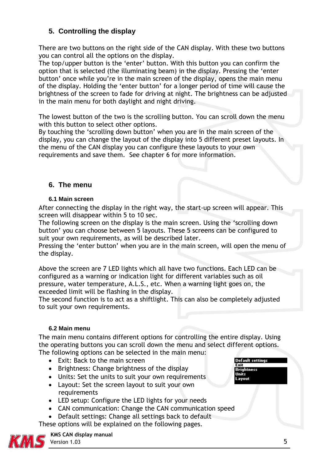## <span id="page-4-0"></span>**5. Controlling the display**

There are two buttons on the right side of the CAN display. With these two buttons you can control all the options on the display.

The top/upper button is the 'enter' button. With this button you can confirm the option that is selected (the illuminating beam) in the display. Pressing the 'enter button' once while you're in the main screen of the display, opens the main menu of the display. Holding the 'enter button' for a longer period of time will cause the brightness of the screen to fade for driving at night. The brightness can be adjusted in the main menu for both daylight and night driving.

The lowest button of the two is the scrolling button. You can scroll down the menu with this button to select other options.

By touching the 'scrolling down button' when you are in the main screen of the display, you can change the layout of the display into 5 different preset layouts. In the menu of the CAN display you can configure these layouts to your own requirements and save them. See chapter 6 for more information.

### <span id="page-4-1"></span>**6. The menu**

#### <span id="page-4-2"></span>**6.1 Main screen**

After connecting the display in the right way, the start-up screen will appear. This screen will disappear within 5 to 10 sec.

The following screen on the display is the main screen. Using the 'scrolling down button' you can choose between 5 layouts. These 5 screens can be configured to suit your own requirements, as will be described later.

Pressing the 'enter button' when you are in the main screen, will open the menu of the display.

Above the screen are 7 LED lights which all have two functions. Each LED can be configured as a warning or indication light for different variables such as oil pressure, water temperature, A.L.S., etc. When a warning light goes on, the exceeded limit will be flashing in the display.

The second function is to act as a shiftlight. This can also be completely adjusted to suit your own requirements.

#### <span id="page-4-3"></span>**6.2 Main menu**

The main menu contains different options for controlling the entire display. Using the operating buttons you can scroll down the menu and select different options. The following options can be selected in the main menu:

- Exit: Back to the main screen
- Brightness: Change brightness of the display
- Units: Set the units to suit your own requirements
- Layout: Set the screen layout to suit your own requirements
- LED setup: Configure the LED lights for your needs
- CAN communication: Change the CAN communication speed
- Default settings: Change all settings back to default

These options will be explained on the following pages.



 **KMS CAN display manual** Version 1.03 5

**Default settings** 

Fxit Units Layout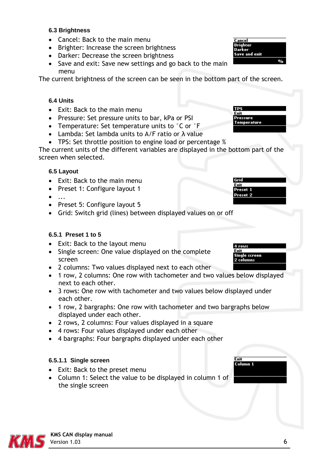#### <span id="page-5-0"></span>**6.3 Brightness**

- Cancel: Back to the main menu
- Brighter: Increase the screen brightness
- Darker: Decrease the screen brightness
- Save and exit: Save new settings and go back to the main menu

The current brightness of the screen can be seen in the bottom part of the screen.

#### <span id="page-5-1"></span>**6.4 Units**

- Exit: Back to the main menu
- Pressure: Set pressure units to bar, kPa or PSI
- Temperature: Set temperature units to °C or °F
- Lambda: Set lambda units to A/F ratio or λ value
- TPS: Set throttle position to engine load or percentage %

The current units of the different variables are displayed in the bottom part of the screen when selected.

#### <span id="page-5-2"></span>**6.5 Layout**

- Exit: Back to the main menu
- Preset 1: Configure layout 1
- ...
- Preset 5: Configure layout 5
- Grid: Switch grid (lines) between displayed values on or off

#### <span id="page-5-3"></span>**6.5.1 Preset 1 to 5**

- Exit: Back to the layout menu
- Single screen: One value displayed on the complete screen
- 2 columns: Two values displayed next to each other
- 1 row, 2 columns: One row with tachometer and two values below displayed next to each other.
- 3 rows: One row with tachometer and two values below displayed under each other.
- 1 row, 2 bargraphs: One row with tachometer and two bargraphs below displayed under each other.
- 2 rows, 2 columns: Four values displayed in a square
- 4 rows: Four values displayed under each other
- 4 bargraphs: Four bargraphs displayed under each other

#### <span id="page-5-4"></span>**6.5.1.1 Single screen**

- Exit: Back to the preset menu
- Column 1: Select the value to be displayed in column 1 of the single screen



Cancel

**TPS** Fxit Pressure **Temperature** 

Geir





Single screen

2 columns

Exit Column<sub>1</sub>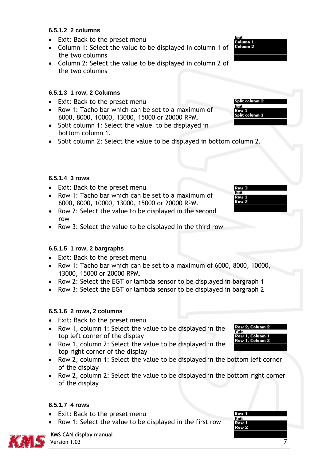#### <span id="page-6-0"></span>**6.5.1.2 2 columns**

- Exit: Back to the preset menu
- Column 1: Select the value to be displayed in column 1 of the two columns
- Column 2: Select the value to be displayed in column 2 of the two columns

#### <span id="page-6-1"></span>**6.5.1.3 1 row, 2 Columns**

- Exit: Back to the preset menu
- Row 1: Tacho bar which can be set to a maximum of 6000, 8000, 10000, 13000, 15000 or 20000 RPM.
- Split column 1: Select the value to be displayed in bottom column 1.
- Split column 2: Select the value to be displayed in bottom column 2.

#### <span id="page-6-2"></span>**6.5.1.4 3 rows**

- Exit: Back to the preset menu
- Row 1: Tacho bar which can be set to a maximum of 6000, 8000, 10000, 13000, 15000 or 20000 RPM.
- Row 2: Select the value to be displayed in the second row
- Row 3: Select the value to be displayed in the third row

#### <span id="page-6-3"></span>**6.5.1.5 1 row, 2 bargraphs**

- Exit: Back to the preset menu
- Row 1: Tacho bar which can be set to a maximum of 6000, 8000, 10000, 13000, 15000 or 20000 RPM.
- Row 2: Select the EGT or lambda sensor to be displayed in bargraph 1
- Row 3: Select the EGT or lambda sensor to be displayed in bargraph 2

#### <span id="page-6-4"></span>**6.5.1.6 2 rows, 2 columns**

- Exit: Back to the preset menu
- Row 1, column 1: Select the value to be displayed in the top left corner of the display
- Row 1, column 2: Select the value to be displayed in the top right corner of the display
- Row 2, column 1: Select the value to be displayed in the bottom left corner of the display
- Row 2, column 2: Select the value to be displayed in the bottom right corner of the display

#### <span id="page-6-5"></span>**6.5.1.7 4 rows**

- Exit: Back to the preset menu
- Row 1: Select the value to be displayed in the first row





#### **KMS CAN display manual** Version 1.03 7



Split column 2 Exit

Split column 1

Row<sub>3</sub> Fvit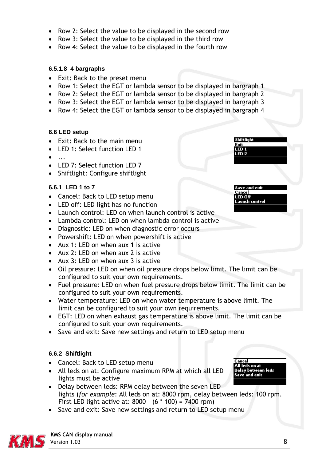- Row 2: Select the value to be displayed in the second row
- Row 3: Select the value to be displayed in the third row
- Row 4: Select the value to be displayed in the fourth row

#### <span id="page-7-0"></span>**6.5.1.8 4 bargraphs**

- Exit: Back to the preset menu
- Row 1: Select the EGT or lambda sensor to be displayed in bargraph 1
- Row 2: Select the EGT or lambda sensor to be displayed in bargraph 2
- Row 3: Select the EGT or lambda sensor to be displayed in bargraph 3
- Row 4: Select the EGT or lambda sensor to be displayed in bargraph 4

#### <span id="page-7-1"></span>**6.6 LED setup**

- Exit: Back to the main menu
- LED 1: Select function LED 1
- $\bullet$  ...
- LED 7: Select function LED 7
- Shiftlight: Configure shiftlight

### <span id="page-7-2"></span>**6.6.1 LED 1 to 7**

- Cancel: Back to LED setup menu
- LED off: LED light has no function
- Launch control: LED on when launch control is active
- Lambda control: LED on when lambda control is active
- Diagnostic: LED on when diagnostic error occurs
- Powershift: LED on when powershift is active
- Aux 1: LED on when aux 1 is active
- Aux 2: LED on when aux 2 is active
- Aux 3: LED on when aux 3 is active
- Oil pressure: LED on when oil pressure drops below limit. The limit can be configured to suit your own requirements.
- Fuel pressure: LED on when fuel pressure drops below limit. The limit can be configured to suit your own requirements.
- Water temperature: LED on when water temperature is above limit. The limit can be configured to suit your own requirements.
- EGT: LED on when exhaust gas temperature is above limit. The limit can be configured to suit your own requirements.
- Save and exit: Save new settings and return to LED setup menu

## <span id="page-7-3"></span>**6.6.2 Shiftlight**

- Cancel: Back to LED setup menu
- All leds on at: Configure maximum RPM at which all LED lights must be active
- Delay between leds: RPM delay between the seven LED lights (*for example*: All leds on at: 8000 rpm, delay between leds: 100 rpm. First LED light active at: 8000 – (6 \* 100) = 7400 rpm)
- Save and exit: Save new settings and return to LED setup menu



**Shiftlight** Exit

aunch control